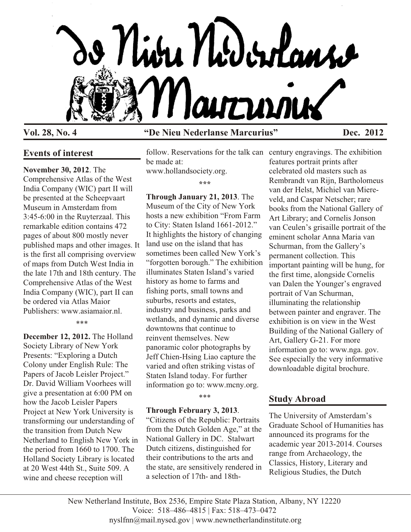

# **Events of interest**

# **November 30, 2012**. The

Comprehensive Atlas of the West India Company (WIC) part II will be presented at the Scheepvaart Museum in Amsterdam from 3:45-6:00 in the Ruyterzaal. This remarkable edition contains 472 pages of about 800 mostly never published maps and other images. It is the first all comprising overview of maps from Dutch West India in the late 17th and 18th century. The Comprehensive Atlas of the West India Company (WIC), part II can be ordered via Atlas Maior Publishers: www.asiamaior.nl.

\*\*\*

**December 12, 2012.** The Holland Society Library of New York Presents: "Exploring a Dutch Colony under English Rule: The Papers of Jacob Leisler Project." Dr. David William Voorhees will give a presentation at 6:00 PM on how the Jacob Leisler Papers Project at New York University is transforming our understanding of the transition from Dutch New Netherland to English New York in the period from 1660 to 1700. The Holland Society Library is located at 20 West 44th St., Suite 509. A wine and cheese reception will

# **Vol. 28, No. 4 "De Nieu Nederlanse Marcurius" Dec. 2012**

follow. Reservations for the talk can century engravings. The exhibition be made at:

www.hollandsociety.org.

**\*\*\***

**Through January 21, 2013**. The Museum of the City of New York hosts a new exhibition "From Farm to City: Staten Island 1661-2012." It highlights the history of changing land use on the island that has sometimes been called New York's "forgotten borough." The exhibition illuminates Staten Island's varied history as home to farms and fishing ports, small towns and suburbs, resorts and estates, industry and business, parks and wetlands, and dynamic and diverse downtowns that continue to reinvent themselves. New panoramic color photographs by Jeff Chien-Hsing Liao capture the varied and often striking vistas of Staten Island today. For further information go to: www.mcny.org.

\*\*\*

### **Through February 3, 2013**.

"Citizens of the Republic: Portraits from the Dutch Golden Age," at the National Gallery in DC. Stalwart Dutch citizens, distinguished for their contributions to the arts and the state, are sensitively rendered in a selection of 17th- and 18th-

features portrait prints after celebrated old masters such as Rembrandt van Rijn, Bartholomeus van der Helst, Michiel van Miereveld, and Caspar Netscher; rare books from the National Gallery of Art Library; and Cornelis Jonson van Ceulen's grisaille portrait of the eminent scholar Anna Maria van Schurman, from the Gallery's permanent collection. This important painting will be hung, for the first time, alongside Cornelis van Dalen the Younger's engraved portrait of Van Schurman, illuminating the relationship between painter and engraver. The exhibition is on view in the West Building of the National Gallery of Art, Gallery G-21. For more information go to: www.nga. gov. See especially the very informative downloadable digital brochure.

# **Study Abroad**

The University of Amsterdam's Graduate School of Humanities has announced its programs for the academic year 2013-2014. Courses range from Archaeology, the Classics, History, Literary and Religious Studies, the Dutch

New Netherland Institute, Box 2536, Empire State Plaza Station, Albany, NY 12220 Voice: 518–486–4815 | Fax: 518–473–0472 nyslfnn@mail.nysed.gov | www.newnetherlandinstitute.org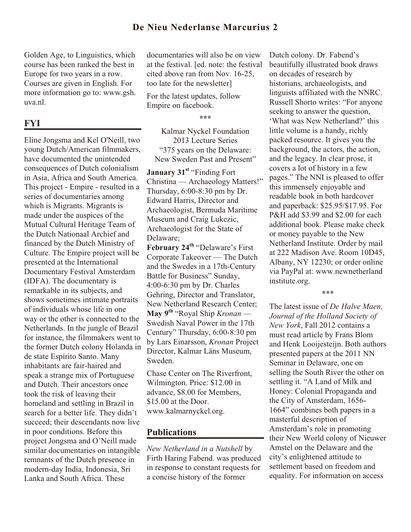Golden Age, to Linguistics, which course has been ranked the best in Europe for two years in a row. Courses are given in English. For more information go to: www.gsh. uva.nl.

# **FYI**

Eline Jongsma and Kel O'Neill, two young Dutch/American filmmakers, have documented the unintended consequences of Dutch colonialism in Asia, Africa and South America. This project - Empire - resulted in a series of documentaries among which is Migrants. Migrants is made under the auspices of the Mutual Cultural Heritage Team of the Dutch Nationaal Archief and financed by the Dutch Ministry of Culture. The Empire project will be presented at the International Documentary Festival Amsterdam (IDFA). The documentary is remarkable in its subjects, and shows sometimes intimate portraits of individuals whose life in one way or the other is connected to the Netherlands. In the jungle of Brazil for instance, the filmmakers went to the former Dutch colony Holanda in de state Espírito Santo. Many inhabitants are fair-haired and speak a strange mix of Portuguese and Dutch. Their ancestors once took the risk of leaving their homeland and settling in Brazil in search for a better life. They didn't succeed; their descendants now live in poor conditions. Before this project Jongsma and O'Neill made similar documentaries on intangible remnants of the Dutch presence in modern-day India, Indonesia, Sri Lanka and South Africa. These

documentaries will also be on view at the festival. [ed. note: the festival cited above ran from Nov. 16-25, too late for the newsletter]

For the latest updates, follow Empire on facebook.

**\*\*\***

Kalmar Nyckel Foundation 2013 Lecture Series "375 years on the Delaware: New Sweden Past and Present"

**January 31st** "Finding Fort Christina — Archaeology Matters!" Thursday, 6:00-8:30 pm by Dr. Edward Harris, Director and Archaeologist, Bermuda Maritime Museum and Craig Lukezic, Archaeologist for the State of Delaware;

**February 24 th** "Delaware's First Corporate Takeover — The Dutch and the Swedes in a 17th-Century Battle for Business" Sunday, 4:00-6:30 pm by Dr. Charles Gehring, Director and Translator, New Netherland Research Center; **May 9th** "Royal Ship *Kronan* — Swedish Naval Power in the 17th Century" Thursday, 6:00-8:30 pm by Lars Einarsson, *Kronan* Project Director, Kalmar Läns Museum, Sweden.

Chase Center on The Riverfront, Wilmington. Price: \$12.00 in advance, \$8.00 for Members, \$15.00 at the Door. www.kalmarnyckel.org.

### **Publications**

*New Netherland in a Nutshell* by Firth Haring Fabend. was produced in response to constant requests for a concise history of the former

Dutch colony. Dr. Fabend's beautifully illustrated book draws on decades of research by historians, archaeologists, and linguists affiliated with the NNRC. Russell Shorto writes: "For anyone seeking to answer the question, 'What was New Netherland?' this little volume is a handy, richly packed resource. It gives you the background, the actors, the action, and the legacy. In clear prose, it covers a lot of history in a few pages." The NNI is pleased to offer this immensely enjoyable and readable book in both hardcover and paperback: \$25.95/\$17.95. For P&H add \$3.99 and \$2.00 for each additional book. Please make check or money payable to the New Netherland Institute. Order by mail at 222 Madison Ave. Room 10D45, Albany, NY 12230; or order online via PayPal at: www.newnetherland institute.org.

**\*\*\***

The latest issue of *De Halve Maen, Journal of the Holland Society of New York*, Fall 2012 contains a must read article by Frans Blom and Henk Looijesteijn. Both authors presented papers at the 2011 NN Seminar in Delaware, one on selling the South River the other on settling it. "A Land of Milk and Honey: Colonial Propaganda and the City of Amsterdam, 1656- 1664" combines both papers in a masterful description of Amsterdam's role in promoting their New World colony of Nieuwer Amstel on the Delaware and the city's enlightened attitude to settlement based on freedom and equality. For information on access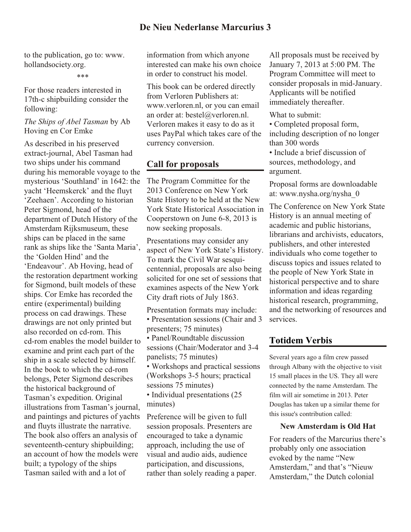# **De Nieu Nederlanse Marcurius 3**

to the publication, go to: www. hollandsociety.org.

\*\*\*

For those readers interested in 17th-c shipbuilding consider the following:

#### *The Ships of Abel Tasman* by Ab Hoving en Cor Emke

As described in his preserved extract-journal, Abel Tasman had two ships under his command during his memorable voyage to the mysterious 'Southland' in 1642: the yacht 'Heemskerck' and the fluyt 'Zeehaen'. According to historian Peter Sigmond, head of the department of Dutch History of the Amsterdam Rijksmuseum, these ships can be placed in the same rank as ships like the 'Santa Maria', the 'Golden Hind' and the 'Endeavour'. Ab Hoving, head of the restoration department working for Sigmond, built models of these ships. Cor Emke has recorded the entire (experimental) building process on cad drawings. These drawings are not only printed but also recorded on cd-rom. This cd-rom enables the model builder to examine and print each part of the ship in a scale selected by himself. In the book to which the cd-rom belongs, Peter Sigmond describes the historical background of Tasman's expedition. Original illustrations from Tasman's journal, and paintings and pictures of yachts and fluyts illustrate the narrative. The book also offers an analysis of seventeenth-century shipbuilding; an account of how the models were built; a typology of the ships Tasman sailed with and a lot of

information from which anyone interested can make his own choice in order to construct his model.

This book can be ordered directly from Verloren Publishers at: www.verloren.nl, or you can email an order at: bestel@verloren.nl. Verloren makes it easy to do as it uses PayPal which takes care of the currency conversion.

# **Call for proposals**

The Program Committee for the 2013 Conference on New York State History to be held at the New York State Historical Association in Cooperstown on June 6-8, 2013 is now seeking proposals.

Presentations may consider any aspect of New York State's History. To mark the Civil War sesquicentennial, proposals are also being solicited for one set of sessions that examines aspects of the New York City draft riots of July 1863.

Presentation formats may include: • Presentation sessions (Chair and 3 presenters; 75 minutes) • Panel/Roundtable discussion sessions (Chair/Moderator and 3-4 panelists; 75 minutes) • Workshops and practical sessions (Workshops 3-5 hours; practical sessions 75 minutes) • Individual presentations (25)

minutes)

Preference will be given to full session proposals. Presenters are encouraged to take a dynamic approach, including the use of visual and audio aids, audience participation, and discussions, rather than solely reading a paper.

All proposals must be received by January 7, 2013 at 5:00 PM. The Program Committee will meet to consider proposals in mid-January. Applicants will be notified immediately thereafter.

What to submit:

• Completed proposal form, including description of no longer than 300 words

• Include a brief discussion of sources, methodology, and argument.

Proposal forms are downloadable at: www.nysha.org/nysha\_0

The Conference on New York State History is an annual meeting of academic and public historians, librarians and archivists, educators, publishers, and other interested individuals who come together to discuss topics and issues related to the people of New York State in historical perspective and to share information and ideas regarding historical research, programming, and the networking of resources and services.

### **Totidem Verbis**

Several years ago a film crew passed through Albany with the objective to visit 15 small places in the US. They all were connected by the name Amsterdam. The film will air sometime in 2013. Peter Douglas has taken up a similar theme for this issue's contribution called:

#### **New Amsterdam is Old Hat**

For readers of the Marcurius there's probably only one association evoked by the name "New Amsterdam," and that's "Nieuw Amsterdam," the Dutch colonial